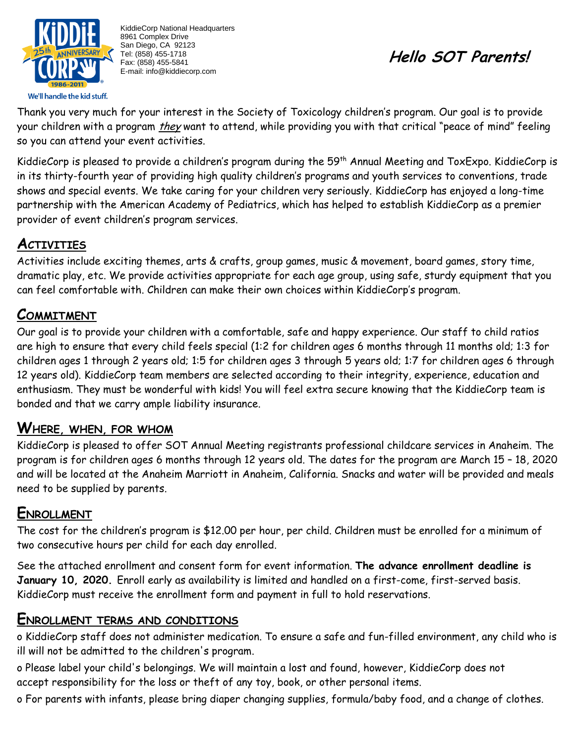

KiddieCorp National Headquarters 8961 Complex Drive San Diego, CA 92123 Tel: (858) 455-1718 Fax: (858) 455-5841 E-mail: info@kiddiecorp.com

# **Hello SOT Parents!**

Thank you very much for your interest in the Society of Toxicology children's program. Our goal is to provide your children with a program *they* want to attend, while providing you with that critical "peace of mind" feeling so you can attend your event activities.

KiddieCorp is pleased to provide a children's program during the 59<sup>th</sup> Annual Meeting and ToxExpo. KiddieCorp is in its thirty-fourth year of providing high quality children's programs and youth services to conventions, trade shows and special events. We take caring for your children very seriously. KiddieCorp has enjoyed a long-time partnership with the American Academy of Pediatrics, which has helped to establish KiddieCorp as a premier provider of event children's program services.

# **ACTIVITIES**

Activities include exciting themes, arts & crafts, group games, music & movement, board games, story time, dramatic play, etc. We provide activities appropriate for each age group, using safe, sturdy equipment that you can feel comfortable with. Children can make their own choices within KiddieCorp's program.

# **COMMITMENT**

Our goal is to provide your children with a comfortable, safe and happy experience. Our staff to child ratios are high to ensure that every child feels special (1:2 for children ages 6 months through 11 months old; 1:3 for children ages 1 through 2 years old; 1:5 for children ages 3 through 5 years old; 1:7 for children ages 6 through 12 years old). KiddieCorp team members are selected according to their integrity, experience, education and enthusiasm. They must be wonderful with kids! You will feel extra secure knowing that the KiddieCorp team is bonded and that we carry ample liability insurance.

## **WHERE, WHEN, FOR WHOM**

KiddieCorp is pleased to offer SOT Annual Meeting registrants professional childcare services in Anaheim. The program is for children ages 6 months through 12 years old. The dates for the program are March 15 – 18, 2020 and will be located at the Anaheim Marriott in Anaheim, California. Snacks and water will be provided and meals need to be supplied by parents.

## **ENROLLMENT**

The cost for the children's program is \$12.00 per hour, per child. Children must be enrolled for a minimum of two consecutive hours per child for each day enrolled.

See the attached enrollment and consent form for event information. **The advance enrollment deadline is January 10, 2020.** Enroll early as availability is limited and handled on a first-come, first-served basis. KiddieCorp must receive the enrollment form and payment in full to hold reservations.

#### **ENROLLMENT TERMS AND CONDITIONS**

o KiddieCorp staff does not administer medication. To ensure a safe and fun-filled environment, any child who is ill will not be admitted to the children's program.

o Please label your child's belongings. We will maintain a lost and found, however, KiddieCorp does not accept responsibility for the loss or theft of any toy, book, or other personal items.

o For parents with infants, please bring diaper changing supplies, formula/baby food, and a change of clothes.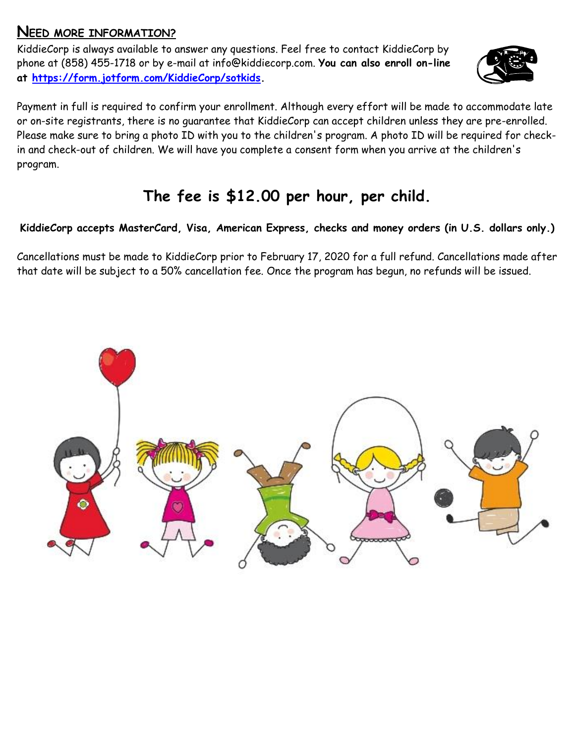### **NEED MORE INFORMATION?**

KiddieCorp is always available to answer any questions. Feel free to contact KiddieCorp by phone at (858) 455-1718 or by e-mail at [info@kiddiecorp.com.](mailto:info@kiddiecorp.com) **You can also enroll on-line at [https://form.jotform.com/KiddieCorp/sotkids.](https://form.jotform.com/KiddieCorp/sotkids)**



Payment in full is required to confirm your enrollment. Although every effort will be made to accommodate late or on-site registrants, there is no guarantee that KiddieCorp can accept children unless they are pre-enrolled. Please make sure to bring a photo ID with you to the children's program. A photo ID will be required for checkin and check-out of children. We will have you complete a consent form when you arrive at the children's program.

# **The fee is \$12.00 per hour, per child.**

### **KiddieCorp accepts MasterCard, Visa, American Express, checks and money orders (in U.S. dollars only.)**

Cancellations must be made to KiddieCorp prior to February 17, 2020 for a full refund. Cancellations made after that date will be subject to a 50% cancellation fee. Once the program has begun, no refunds will be issued.

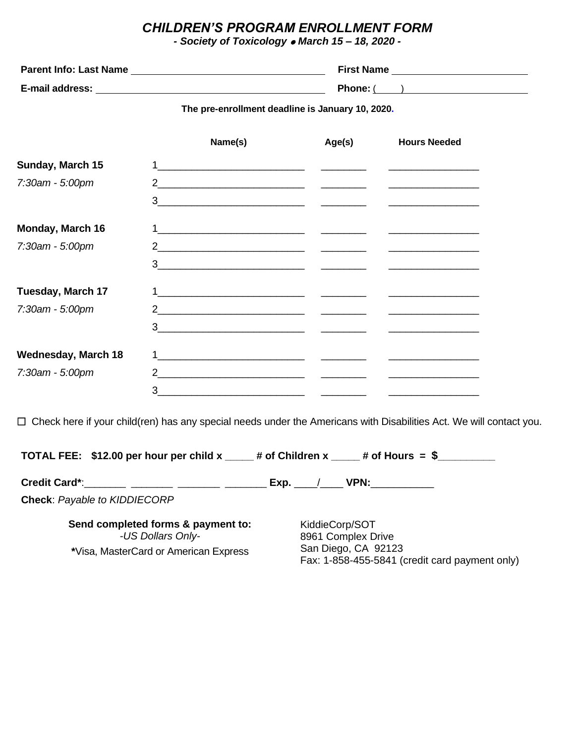#### *CHILDREN'S PROGRAM ENROLLMENT FORM*

*- Society of Toxicology* ⚫ *March 15 – 18, 2020 -*

| <b>Parent Info: Last Name</b> | <b>First Name</b> |
|-------------------------------|-------------------|
| E-mail address:               | Phone: $\sqrt{ }$ |

**The pre-enrollment deadline is January 10, 2020.**

|                            | Name(s)                         | Age(s) | <b>Hours Needed</b> |
|----------------------------|---------------------------------|--------|---------------------|
| Sunday, March 15           |                                 |        |                     |
| 7:30am - 5:00pm            |                                 |        |                     |
|                            | $3 \t -$                        |        |                     |
| <b>Monday, March 16</b>    |                                 |        |                     |
| 7:30am - 5:00pm            |                                 |        |                     |
|                            | $3 \t -$                        |        |                     |
| <b>Tuesday, March 17</b>   |                                 |        |                     |
| 7:30am - 5:00pm            |                                 |        |                     |
|                            | $3 \qquad \qquad \qquad$        |        |                     |
| <b>Wednesday, March 18</b> |                                 |        |                     |
| 7:30am - 5:00pm            | 2 and $\overline{\phantom{a}1}$ |        |                     |
|                            | 3                               |        |                     |

Check here if your child(ren) has any special needs under the Americans with Disabilities Act. We will contact you.

| TOTAL FEE: \$12.00 per hour per child x $\mu$ of Children x $\mu$ of Hours = \$ |                                                                       |
|---------------------------------------------------------------------------------|-----------------------------------------------------------------------|
| Credit Card*: _______ _______ _______ _____                                     | $\mathsf{Exp.} \qquad / \qquad \mathsf{VPN:}$                         |
| <b>Check: Payable to KIDDIECORP</b>                                             |                                                                       |
| Send completed forms & payment to:<br>-US Dollars Only-                         | KiddieCorp/SOT<br>8961 Complex Drive                                  |
| *Visa, MasterCard or American Express                                           | San Diego, CA 92123<br>Fax: 1-858-455-5841 (credit card payment only) |